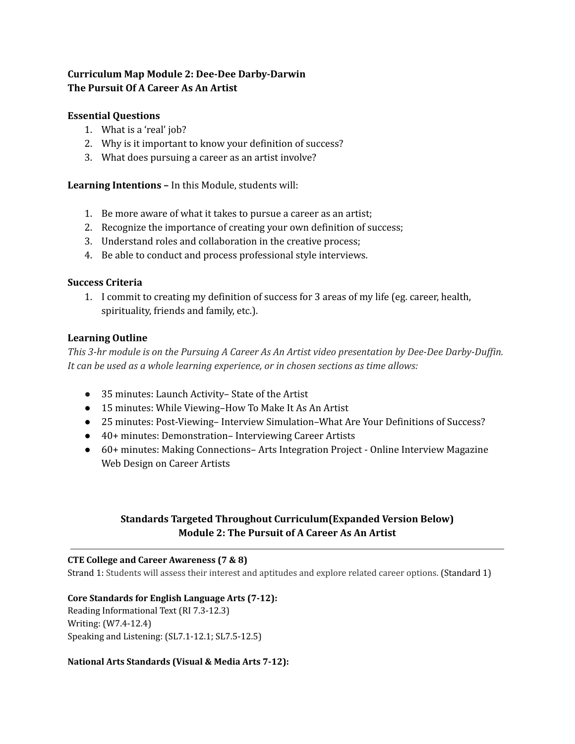# **Curriculum Map Module 2: Dee-Dee Darby-Darwin The Pursuit Of A Career As An Artist**

## **Essential Questions**

- 1. What is a 'real' job?
- 2. Why is it important to know your definition of success?
- 3. What does pursuing a career as an artist involve?

**Learning Intentions –** In this Module, students will:

- 1. Be more aware of what it takes to pursue a career as an artist;
- 2. Recognize the importance of creating your own definition of success;
- 3. Understand roles and collaboration in the creative process;
- 4. Be able to conduct and process professional style interviews.

### **Success Criteria**

1. I commit to creating my definition of success for 3 areas of my life (eg. career, health, spirituality, friends and family, etc.).

## **Learning Outline**

This 3-hr module is on the Pursuing A Career As An Artist video presentation by Dee-Dee Darby-Duffin. *It can be used as a whole learning experience, or in chosen sections as time allows:*

- 35 minutes: Launch Activity– State of the Artist
- 15 minutes: While Viewing–How To Make It As An Artist
- 25 minutes: Post-Viewing– Interview Simulation–What Are Your Definitions of Success?
- 40+ minutes: Demonstration– Interviewing Career Artists
- 60+ minutes: Making Connections– Arts Integration Project Online Interview Magazine Web Design on Career Artists

# **Standards Targeted Throughout Curriculum(Expanded Version Below) Module 2: The Pursuit of A Career As An Artist**

### **CTE College and Career Awareness (7 & 8)**

Strand 1: Students will assess their interest and aptitudes and explore related career options. (Standard 1)

## **Core Standards for English Language Arts (7-12):**

Reading Informational Text (RI 7.3-12.3) Writing: (W7.4-12.4) Speaking and Listening: (SL7.1-12.1; SL7.5-12.5)

## **National Arts Standards (Visual & Media Arts 7-12):**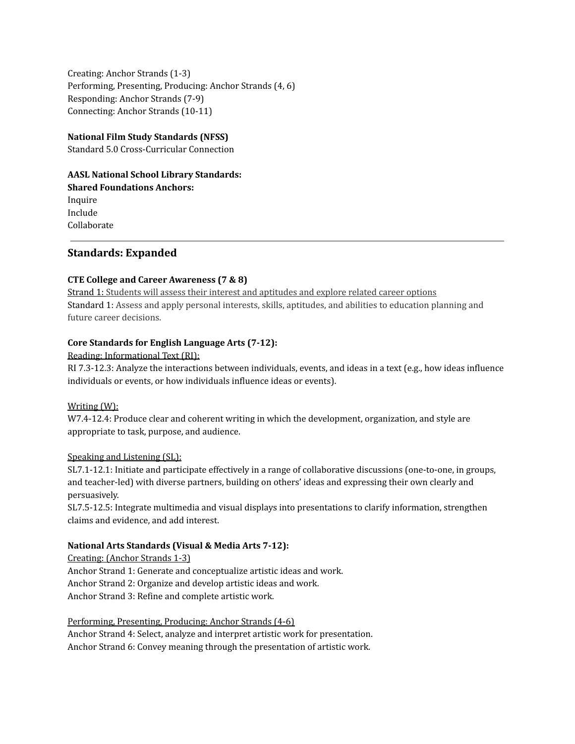Creating: Anchor Strands (1-3) Performing, Presenting, Producing: Anchor Strands (4, 6) Responding: Anchor Strands (7-9) Connecting: Anchor Strands (10-11)

### **National Film Study Standards (NFSS)**

Standard 5.0 Cross-Curricular Connection

### **AASL National School Library Standards: Shared Foundations Anchors:**

Inquire Include Collaborate

## **Standards: Expanded**

### **CTE College and Career Awareness (7 & 8)**

Strand 1: Students will assess their interest and aptitudes and explore related career options Standard 1: Assess and apply personal interests, skills, aptitudes, and abilities to education planning and future career decisions.

### **Core Standards for English Language Arts (7-12):**

### Reading: Informational Text (RI):

RI 7.3-12.3: Analyze the interactions between individuals, events, and ideas in a text (e.g., how ideas influence individuals or events, or how individuals influence ideas or events).

### Writing (W):

W7.4-12.4: Produce clear and coherent writing in which the development, organization, and style are appropriate to task, purpose, and audience.

### Speaking and Listening (SL):

SL7.1-12.1: Initiate and participate effectively in a range of collaborative discussions (one-to-one, in groups, and teacher-led) with diverse partners, building on others' ideas and expressing their own clearly and persuasively.

SL7.5-12.5: Integrate multimedia and visual displays into presentations to clarify information, strengthen claims and evidence, and add interest.

## **National Arts Standards (Visual & Media Arts 7-12):**

Creating: (Anchor Strands 1-3)

Anchor Strand 1: Generate and conceptualize artistic ideas and work. Anchor Strand 2: Organize and develop artistic ideas and work. Anchor Strand 3: Refine and complete artistic work.

Performing, Presenting, Producing: Anchor Strands (4-6)

Anchor Strand 4: Select, analyze and interpret artistic work for presentation. Anchor Strand 6: Convey meaning through the presentation of artistic work.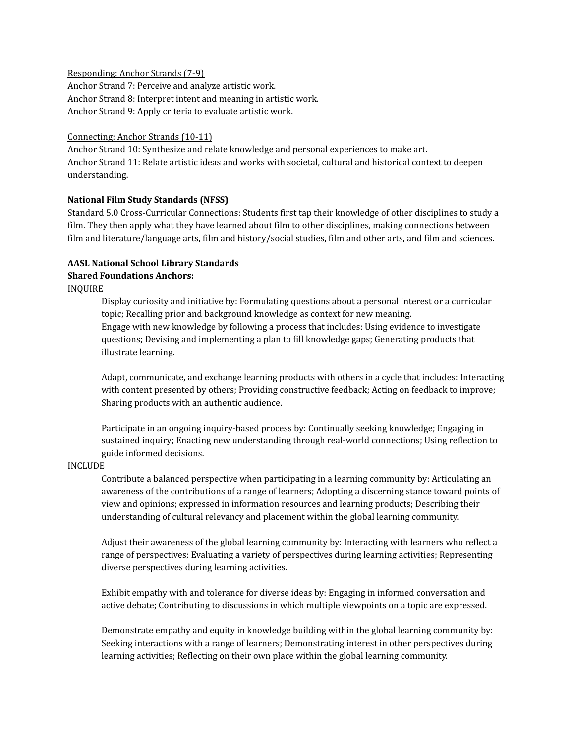#### Responding: Anchor Strands (7-9)

Anchor Strand 7: Perceive and analyze artistic work. Anchor Strand 8: Interpret intent and meaning in artistic work. Anchor Strand 9: Apply criteria to evaluate artistic work.

#### Connecting: Anchor Strands (10-11)

Anchor Strand 10: Synthesize and relate knowledge and personal experiences to make art. Anchor Strand 11: Relate artistic ideas and works with societal, cultural and historical context to deepen understanding.

#### **National Film Study Standards (NFSS)**

Standard 5.0 Cross-Curricular Connections: Students first tap their knowledge of other disciplines to study a film. They then apply what they have learned about film to other disciplines, making connections between film and literature/language arts, film and history/social studies, film and other arts, and film and sciences.

## **AASL National School Library Standards**

### **Shared Foundations Anchors:**

INQUIRE

Display curiosity and initiative by: Formulating questions about a personal interest or a curricular topic; Recalling prior and background knowledge as context for new meaning. Engage with new knowledge by following a process that includes: Using evidence to investigate questions; Devising and implementing a plan to fill knowledge gaps; Generating products that illustrate learning.

Adapt, communicate, and exchange learning products with others in a cycle that includes: Interacting with content presented by others; Providing constructive feedback; Acting on feedback to improve; Sharing products with an authentic audience.

Participate in an ongoing inquiry-based process by: Continually seeking knowledge; Engaging in sustained inquiry; Enacting new understanding through real-world connections; Using reflection to guide informed decisions.

#### INCLUDE

Contribute a balanced perspective when participating in a learning community by: Articulating an awareness of the contributions of a range of learners; Adopting a discerning stance toward points of view and opinions; expressed in information resources and learning products; Describing their understanding of cultural relevancy and placement within the global learning community.

Adjust their awareness of the global learning community by: Interacting with learners who reflect a range of perspectives; Evaluating a variety of perspectives during learning activities; Representing diverse perspectives during learning activities.

Exhibit empathy with and tolerance for diverse ideas by: Engaging in informed conversation and active debate; Contributing to discussions in which multiple viewpoints on a topic are expressed.

Demonstrate empathy and equity in knowledge building within the global learning community by: Seeking interactions with a range of learners; Demonstrating interest in other perspectives during learning activities; Reflecting on their own place within the global learning community.